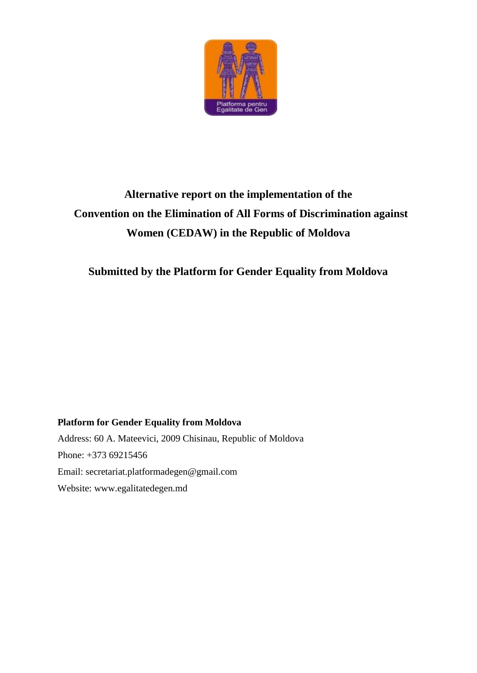

# **Alternative report on the implementation of the Convention on the Elimination of All Forms of Discrimination against Women (CEDAW) in the Republic of Moldova**

## **Submitted by the Platform for Gender Equality from Moldova**

# **Platform for Gender Equality from Moldova**  Address: 60 A. Mateevici, 2009 Chisinau, Republic of Moldova Phone: +373 69215456 Email: secretariat.platformadegen@gmail.com Website: www.egalitatedegen.md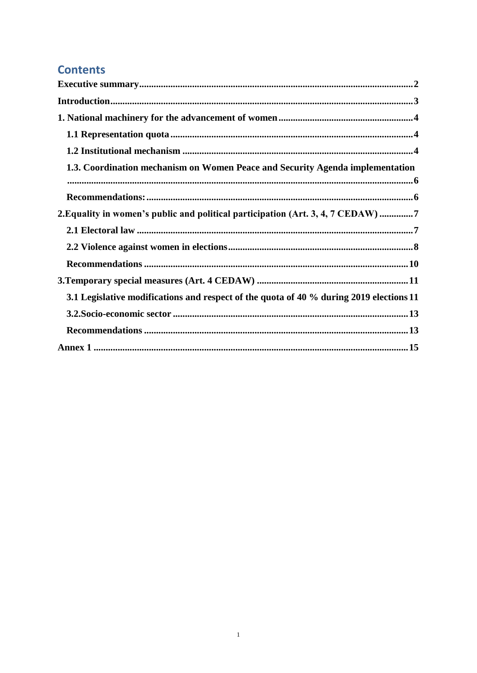## **Contents**

| 1.3. Coordination mechanism on Women Peace and Security Agenda implementation           |  |
|-----------------------------------------------------------------------------------------|--|
|                                                                                         |  |
| 2. Equality in women's public and political participation (Art. 3, 4, 7 CEDAW) 7        |  |
|                                                                                         |  |
|                                                                                         |  |
|                                                                                         |  |
|                                                                                         |  |
| 3.1 Legislative modifications and respect of the quota of 40 % during 2019 elections 11 |  |
|                                                                                         |  |
|                                                                                         |  |
|                                                                                         |  |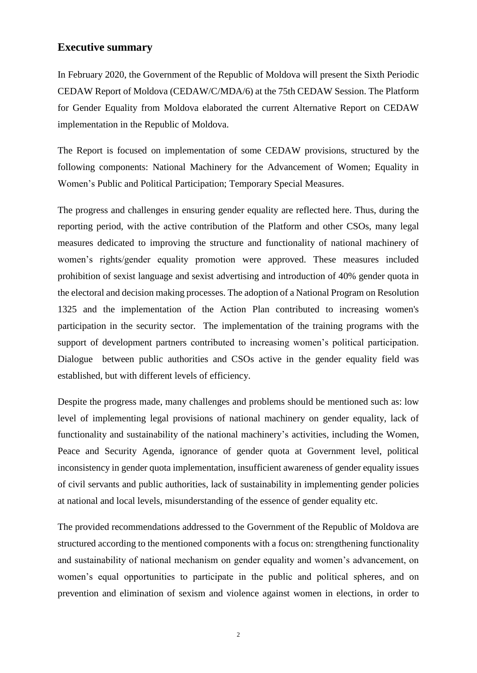### <span id="page-2-0"></span>**Executive summary**

In February 2020, the Government of the Republic of Moldova will present the Sixth Periodic CEDAW Report of Moldova (CEDAW/C/MDA/6) at the 75th CEDAW Session. The Platform for Gender Equality from Moldova elaborated the current Alternative Report on CEDAW implementation in the Republic of Moldova.

The Report is focused on implementation of some CEDAW provisions, structured by the following components: National Machinery for the Advancement of Women; Equality in Women's Public and Political Participation; Temporary Special Measures.

The progress and challenges in ensuring gender equality are reflected here. Thus, during the reporting period, with the active contribution of the Platform and other CSOs, many legal measures dedicated to improving the structure and functionality of national machinery of women's rights/gender equality promotion were approved. These measures included prohibition of sexist language and sexist advertising and introduction of 40% gender quota in the electoral and decision making processes. The adoption of a National Program on Resolution 1325 and the implementation of the Action Plan contributed to increasing women's participation in the security sector. The implementation of the training programs with the support of development partners contributed to increasing women's political participation. Dialogue between public authorities and CSOs active in the gender equality field was established, but with different levels of efficiency.

Despite the progress made, many challenges and problems should be mentioned such as: low level of implementing legal provisions of national machinery on gender equality, lack of functionality and sustainability of the national machinery's activities, including the Women, Peace and Security Agenda, ignorance of gender quota at Government level, political inconsistency in gender quota implementation, insufficient awareness of gender equality issues of civil servants and public authorities, lack of sustainability in implementing gender policies at national and local levels, misunderstanding of the essence of gender equality etc.

The provided recommendations addressed to the Government of the Republic of Moldova are structured according to the mentioned components with a focus on: strengthening functionality and sustainability of national mechanism on gender equality and women's advancement, on women's equal opportunities to participate in the public and political spheres, and on prevention and elimination of sexism and violence against women in elections, in order to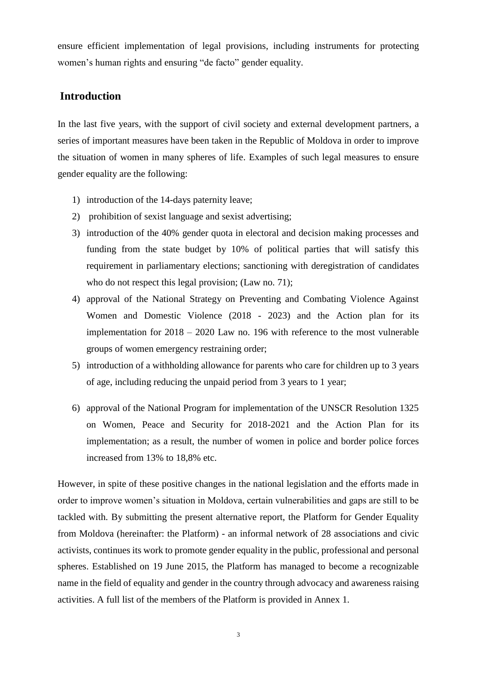ensure efficient implementation of legal provisions, including instruments for protecting women's human rights and ensuring "de facto" gender equality.

### <span id="page-3-0"></span>**Introduction**

In the last five years, with the support of civil society and external development partners, a series of important measures have been taken in the Republic of Moldova in order to improve the situation of women in many spheres of life. Examples of such legal measures to ensure gender equality are the following:

- 1) introduction of the 14-days paternity leave;
- 2) prohibition of sexist language and sexist advertising;
- 3) introduction of the 40% gender quota in electoral and decision making processes and funding from the state budget by 10% of political parties that will satisfy this requirement in parliamentary elections; sanctioning with deregistration of candidates who do not respect this legal provision; (Law no. 71);
- 4) approval of the National Strategy on Preventing and Combating Violence Against Women and Domestic Violence (2018 - 2023) and the Action plan for its implementation for 2018 – 2020 Law no. 196 with reference to the most vulnerable groups of women emergency restraining order;
- 5) introduction of a withholding allowance for parents who care for children up to 3 years of age, including reducing the unpaid period from 3 years to 1 year;
- 6) approval of the National Program for implementation of the UNSCR Resolution 1325 on Women, Peace and Security for 2018-2021 and the Action Plan for its implementation; as a result, the number of women in police and border police forces increased from 13% to 18,8% etc.

However, in spite of these positive changes in the national legislation and the efforts made in order to improve women's situation in Moldova, certain vulnerabilities and gaps are still to be tackled with. By submitting the present alternative report, the Platform for Gender Equality from Moldova (hereinafter: the Platform) - an informal network of 28 associations and civic activists, continues its work to promote gender equality in the public, professional and personal spheres. Established on 19 June 2015, the Platform has managed to become a recognizable name in the field of equality and gender in the country through advocacy and awareness raising activities. A full list of the members of the Platform is provided in Annex 1.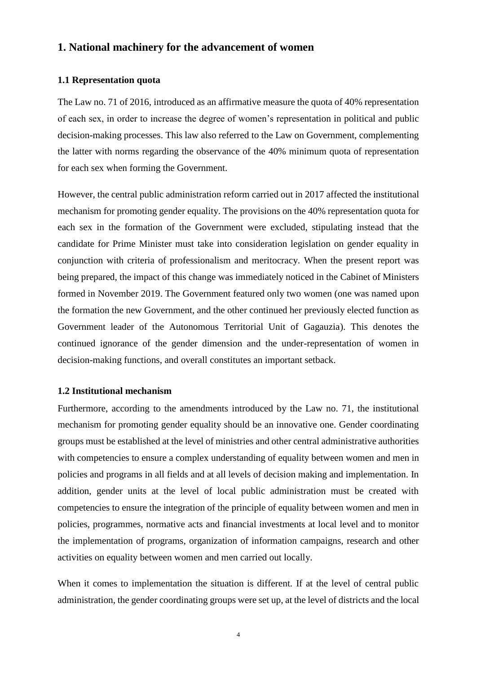### <span id="page-4-0"></span>**1. National machinery for the advancement of women**

#### <span id="page-4-1"></span>**1.1 Representation quota**

The Law no. 71 of 2016, introduced as an affirmative measure the quota of 40% representation of each sex, in order to increase the degree of women's representation in political and public decision-making processes. This law also referred to the Law on Government, complementing the latter with norms regarding the observance of the 40% minimum quota of representation for each sex when forming the Government.

However, the central public administration reform carried out in 2017 affected the institutional mechanism for promoting gender equality. The provisions on the 40% representation quota for each sex in the formation of the Government were excluded, stipulating instead that the candidate for Prime Minister must take into consideration legislation on gender equality in conjunction with criteria of professionalism and meritocracy. When the present report was being prepared, the impact of this change was immediately noticed in the Cabinet of Ministers formed in November 2019. The Government featured only two women (one was named upon the formation the new Government, and the other continued her previously elected function as Government leader of the Autonomous Territorial Unit of Gagauzia). This denotes the continued ignorance of the gender dimension and the under-representation of women in decision-making functions, and overall constitutes an important setback.

#### <span id="page-4-2"></span>**1.2 Institutional mechanism**

Furthermore, according to the amendments introduced by the Law no. 71, the institutional mechanism for promoting gender equality should be an innovative one. Gender coordinating groups must be established at the level of ministries and other central administrative authorities with competencies to ensure a complex understanding of equality between women and men in policies and programs in all fields and at all levels of decision making and implementation. In addition, gender units at the level of local public administration must be created with competencies to ensure the integration of the principle of equality between women and men in policies, programmes, normative acts and financial investments at local level and to monitor the implementation of programs, organization of information campaigns, research and other activities on equality between women and men carried out locally.

When it comes to implementation the situation is different. If at the level of central public administration, the gender coordinating groups were set up, at the level of districts and the local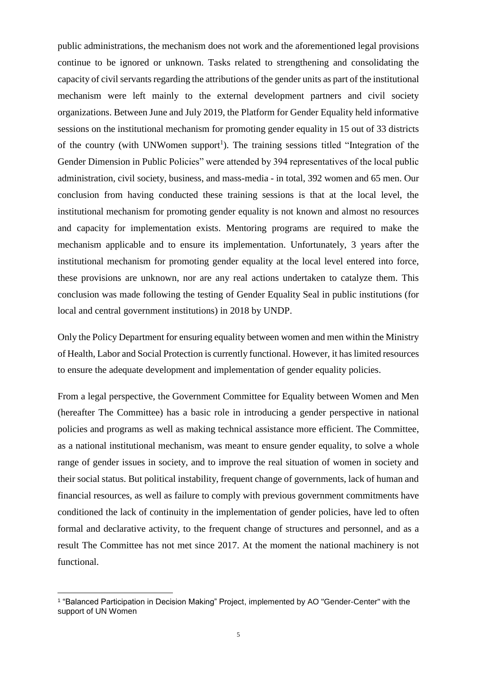public administrations, the mechanism does not work and the aforementioned legal provisions continue to be ignored or unknown. Tasks related to strengthening and consolidating the capacity of civil servants regarding the attributions of the gender units as part of the institutional mechanism were left mainly to the external development partners and civil society organizations. Between June and July 2019, the Platform for Gender Equality held informative sessions on the institutional mechanism for promoting gender equality in 15 out of 33 districts of the country (with UNWomen support<sup>1</sup>). The training sessions titled "Integration of the Gender Dimension in Public Policies" were attended by 394 representatives of the local public administration, civil society, business, and mass-media - in total, 392 women and 65 men. Our conclusion from having conducted these training sessions is that at the local level, the institutional mechanism for promoting gender equality is not known and almost no resources and capacity for implementation exists. Mentoring programs are required to make the mechanism applicable and to ensure its implementation. Unfortunately, 3 years after the institutional mechanism for promoting gender equality at the local level entered into force, these provisions are unknown, nor are any real actions undertaken to catalyze them. This conclusion was made following the testing of Gender Equality Seal in public institutions (for local and central government institutions) in 2018 by UNDP.

Only the Policy Department for ensuring equality between women and men within the Ministry of Health, Labor and Social Protection is currently functional. However, it has limited resources to ensure the adequate development and implementation of gender equality policies.

From a legal perspective, the Government Committee for Equality between Women and Men (hereafter The Committee) has a basic role in introducing a gender perspective in national policies and programs as well as making technical assistance more efficient. The Committee, as a national institutional mechanism, was meant to ensure gender equality, to solve a whole range of gender issues in society, and to improve the real situation of women in society and their social status. But political instability, frequent change of governments, lack of human and financial resources, as well as failure to comply with previous government commitments have conditioned the lack of continuity in the implementation of gender policies, have led to often formal and declarative activity, to the frequent change of structures and personnel, and as a result The Committee has not met since 2017. At the moment the national machinery is not functional.

<sup>1</sup> "Balanced Participation in Decision Making" Project, implemented by AO "Gender-Center" with the support of UN Women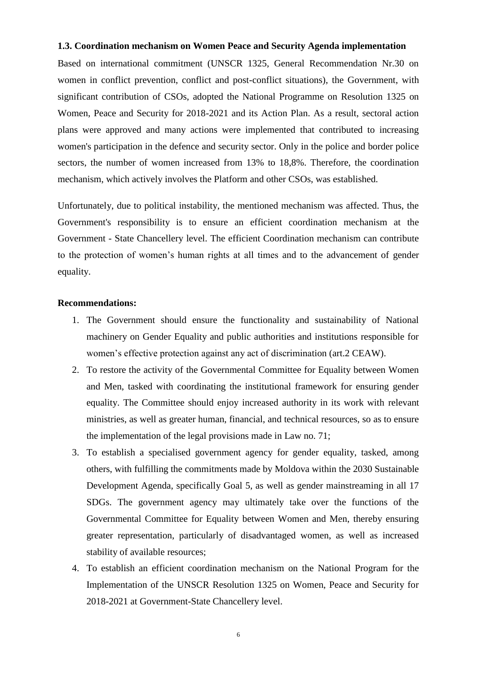#### <span id="page-6-0"></span>**1.3. Coordination mechanism on Women Peace and Security Agenda implementation**

Based on international commitment (UNSCR 1325, General Recommendation Nr.30 on women in conflict prevention, conflict and post-conflict situations), the Government, with significant contribution of CSOs, adopted the National Programme on Resolution 1325 on Women, Peace and Security for 2018-2021 and its Action Plan. As a result, sectoral action plans were approved and many actions were implemented that contributed to increasing women's participation in the defence and security sector. Only in the police and border police sectors, the number of women increased from 13% to 18,8%. Therefore, the coordination mechanism, which actively involves the Platform and other CSOs, was established.

Unfortunately, due to political instability, the mentioned mechanism was affected. Thus, the Government's responsibility is to ensure an efficient coordination mechanism at the Government - State Chancellery level. The efficient Coordination mechanism can contribute to the protection of women's human rights at all times and to the advancement of gender equality.

#### <span id="page-6-1"></span>**Recommendations:**

- 1. The Government should ensure the functionality and sustainability of National machinery on Gender Equality and public authorities and institutions responsible for women's effective protection against any act of discrimination (art.2 CEAW).
- 2. To restore the activity of the Governmental Committee for Equality between Women and Men, tasked with coordinating the institutional framework for ensuring gender equality. The Committee should enjoy increased authority in its work with relevant ministries, as well as greater human, financial, and technical resources, so as to ensure the implementation of the legal provisions made in Law no. 71;
- 3. To establish a specialised government agency for gender equality, tasked, among others, with fulfilling the commitments made by Moldova within the 2030 Sustainable Development Agenda, specifically Goal 5, as well as gender mainstreaming in all 17 SDGs. The government agency may ultimately take over the functions of the Governmental Committee for Equality between Women and Men, thereby ensuring greater representation, particularly of disadvantaged women, as well as increased stability of available resources;
- 4. To establish an efficient coordination mechanism on the National Program for the Implementation of the UNSCR Resolution 1325 on Women, Peace and Security for 2018-2021 at Government-State Chancellery level.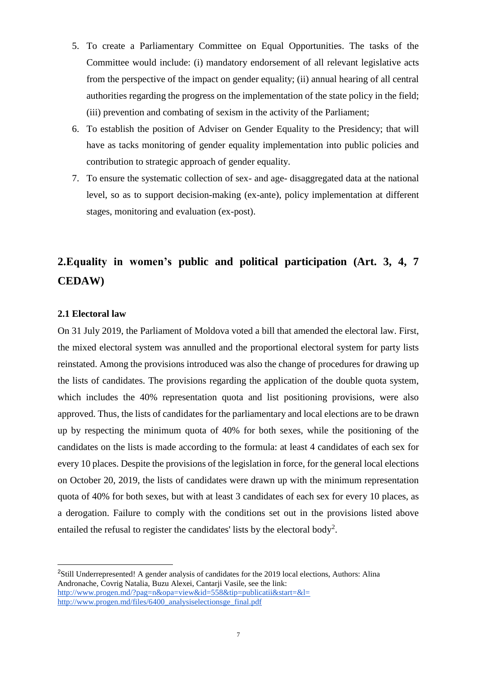- 5. To create a Parliamentary Committee on Equal Opportunities. The tasks of the Committee would include: (i) mandatory endorsement of all relevant legislative acts from the perspective of the impact on gender equality; (ii) annual hearing of all central authorities regarding the progress on the implementation of the state policy in the field; (iii) prevention and combating of sexism in the activity of the Parliament;
- 6. To establish the position of Adviser on Gender Equality to the Presidency; that will have as tacks monitoring of gender equality implementation into public policies and contribution to strategic approach of gender equality.
- 7. To ensure the systematic collection of sex- and age- disaggregated data at the national level, so as to support decision-making (ex-ante), policy implementation at different stages, monitoring and evaluation (ex-post).

## <span id="page-7-0"></span>**2.Equality in women's public and political participation (Art. 3, 4, 7 CEDAW)**

#### <span id="page-7-1"></span>**2.1 Electoral law**

-

On 31 July 2019, the Parliament of Moldova voted a bill that amended the electoral law. First, the mixed electoral system was annulled and the proportional electoral system for party lists reinstated. Among the provisions introduced was also the change of procedures for drawing up the lists of candidates. The provisions regarding the application of the double quota system, which includes the 40% representation quota and list positioning provisions, were also approved. Thus, the lists of candidates for the parliamentary and local elections are to be drawn up by respecting the minimum quota of 40% for both sexes, while the positioning of the candidates on the lists is made according to the formula: at least 4 candidates of each sex for every 10 places. Despite the provisions of the legislation in force, for the general local elections on October 20, 2019, the lists of candidates were drawn up with the minimum representation quota of 40% for both sexes, but with at least 3 candidates of each sex for every 10 places, as a derogation. Failure to comply with the conditions set out in the provisions listed above entailed the refusal to register the candidates' lists by the electoral body<sup>2</sup>.

<sup>&</sup>lt;sup>2</sup>Still Underrepresented! A gender analysis of candidates for the 2019 local elections, Authors: Alina Andronache, Covrig Natalia, Buzu Alexei, Cantarji Vasile, see the link[:](http://www.progen.md/files/6400_analysiselectionsge_final.pdf) <http://www.progen.md/?pag=n&opa=view&id=558&tip=publicatii&start=&l=> [http://www.progen.md/files/6400\\_analysiselectionsge\\_final.pdf](http://www.progen.md/files/6400_analysiselectionsge_final.pdf)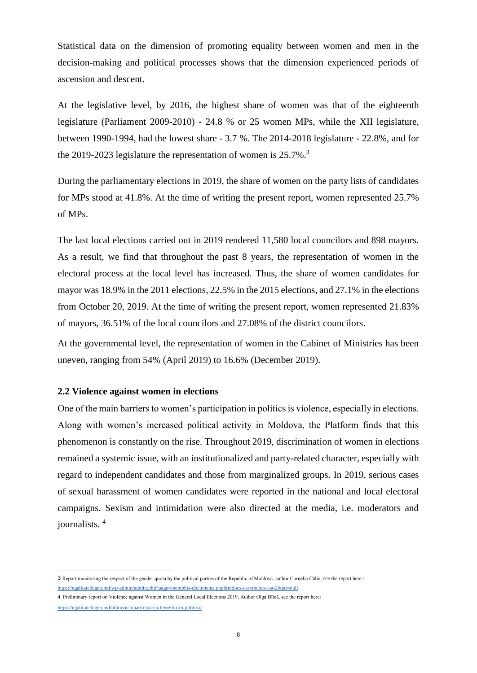Statistical data on the dimension of promoting equality between women and men in the decision-making and political processes shows that the dimension experienced periods of ascension and descent.

At the legislative level, by 2016, the highest share of women was that of the eighteenth legislature (Parliament 2009-2010) - 24.8 % or 25 women MPs, while the XII legislature, between 1990-1994, had the lowest share - 3.7 %. The 2014-2018 legislature - 22.8%, and for the 2019-2023 legislature the representation of women is 25.7%.<sup>3</sup>

During the parliamentary elections in 2019, the share of women on the party lists of candidates for MPs stood at 41.8%. At the time of writing the present report, women represented 25.7% of MPs.

The last local elections carried out in 2019 rendered 11,580 local councilors and 898 mayors. As a result, we find that throughout the past 8 years, the representation of women in the electoral process at the local level has increased. Thus, the share of women candidates for mayor was 18.9% in the 2011 elections, 22.5% in the 2015 elections, and 27.1% in the elections from October 20, 2019. At the time of writing the present report, women represented 21.83% of mayors, 36.51% of the local councilors and 27.08% of the district councilors.

At the governmental level, the representation of women in the Cabinet of Ministries has been uneven, ranging from 54% (April 2019) to 16.6% (December 2019).

#### <span id="page-8-0"></span>**2.2 Violence against women in elections**

One of the main barriers to women's participation in politics is violence, especially in elections. Along with women's increased political activity in Moldova, the Platform finds that this phenomenon is constantly on the rise. Throughout 2019, discrimination of women in elections remained a systemic issue, with an institutionalized and party-related character, especially with regard to independent candidates and those from marginalized groups. In 2019, serious cases of sexual harassment of women candidates were reported in the national and local electoral campaigns. Sexism and intimidation were also directed at the media, i.e. moderators and journalists. <sup>4</sup>

<sup>3</sup> Report monitoring the respect of the gender quota by the political parties of the Republic of Moldova, author Cornelia Călin, see the report here : <https://egalitatedegen.md/wp-admin/admin.php?page=memphis-documents.php&mdocs-cat=mdocs-cat-2&att=null>

<sup>4</sup> Preliminary report on Violence against Women in the General Local Elections 2019, Author Olga Bîtcă, see the report here:

<https://egalitatedegen.md/biblioteca/participarea-femeilor-in-politica/>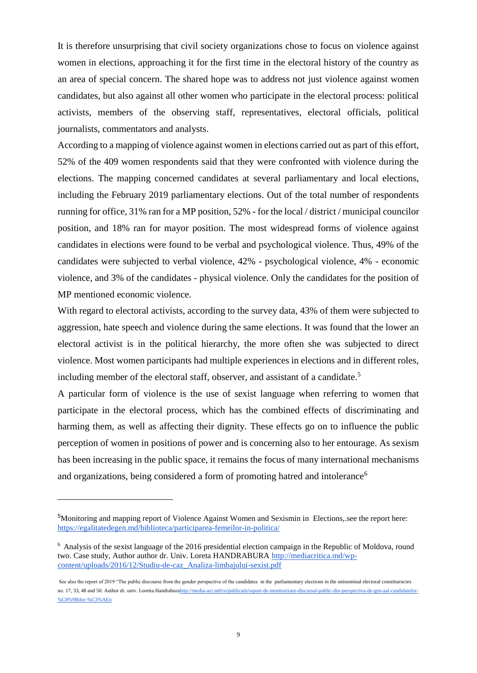It is therefore unsurprising that civil society organizations chose to focus on violence against women in elections, approaching it for the first time in the electoral history of the country as an area of special concern. The shared hope was to address not just violence against women candidates, but also against all other women who participate in the electoral process: political activists, members of the observing staff, representatives, electoral officials, political journalists, commentators and analysts.

According to a mapping of violence against women in elections carried out as part of this effort, 52% of the 409 women respondents said that they were confronted with violence during the elections. The mapping concerned candidates at several parliamentary and local elections, including the February 2019 parliamentary elections. Out of the total number of respondents running for office, 31% ran for a MP position, 52% - for the local / district / municipal councilor position, and 18% ran for mayor position. The most widespread forms of violence against candidates in elections were found to be verbal and psychological violence. Thus, 49% of the candidates were subjected to verbal violence, 42% - psychological violence, 4% - economic violence, and 3% of the candidates - physical violence. Only the candidates for the position of MP mentioned economic violence.

With regard to electoral activists, according to the survey data, 43% of them were subjected to aggression, hate speech and violence during the same elections. It was found that the lower an electoral activist is in the political hierarchy, the more often she was subjected to direct violence. Most women participants had multiple experiences in elections and in different roles, including member of the electoral staff, observer, and assistant of a candidate.<sup>5</sup>

A particular form of violence is the use of sexist language when referring to women that participate in the electoral process, which has the combined effects of discriminating and harming them, as well as affecting their dignity. These effects go on to influence the public perception of women in positions of power and is concerning also to her entourage. As sexism has been increasing in the public space, it remains the focus of many international mechanisms and organizations, being considered a form of promoting hatred and intolerance<sup>6</sup>

<sup>5</sup>Monitoring and mapping report of Violence Against Women and Sexismin in Elections,.see the report here[:](https://egalitatedegen.md/biblioteca/participarea-femeilor-in-politica/) <https://egalitatedegen.md/biblioteca/participarea-femeilor-in-politica/>

<sup>6</sup> [Analysis of the sexist language of the 2016 presidential election campaign in the Republic of Moldova, round](http://mediacritica.md/wp-content/uploads/2016/12/Studiu-de-caz_Analiza-limbajului-sexist.pdf)  [two. Case study, Author author dr. Univ. Loreta HANDRABURA http://mediacritica.md/wp](http://mediacritica.md/wp-content/uploads/2016/12/Studiu-de-caz_Analiza-limbajului-sexist.pdf)[content/uploads/2016/12/Studiu-de-caz\\_Analiza-limbajului-sexist.pdf](http://mediacritica.md/wp-content/uploads/2016/12/Studiu-de-caz_Analiza-limbajului-sexist.pdf)

See also the report of 2019 "The public discourse from the gender perspective of the candidates in the parliamentary elections in the uninominal electoral constituencies no. 17, 33, 48 and 50. Author dr. univ. Loretta Handrabur[ahttp://media-azi.md/ro/publicatii/raport-de-monitorizare-discursul-public-din-perspectiva-de-gen-aal-candidatelor-](http://media-azi.md/ro/publicatii/raport-de-monitorizare-discursul-public-din-perspectiva-de-gen-aal-candidatelor-%C8%9Bilor-%C3%AEn) [%C8%9Bilor-%C3%AEn](http://media-azi.md/ro/publicatii/raport-de-monitorizare-discursul-public-din-perspectiva-de-gen-aal-candidatelor-%C8%9Bilor-%C3%AEn)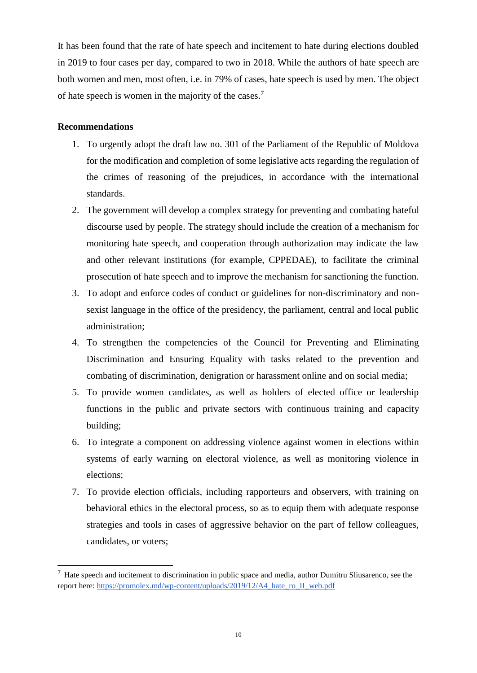It has been found that the rate of hate speech and incitement to hate during elections doubled in 2019 to four cases per day, compared to two in 2018. While the authors of hate speech are both women and men, most often, i.e. in 79% of cases, hate speech is used by men. The object of hate speech is women in the majority of the cases.<sup>7</sup>

#### <span id="page-10-0"></span>**Recommendations**

- 1. To urgently adopt the draft law no. 301 of the Parliament of the Republic of Moldova for the modification and completion of some legislative acts regarding the regulation of the crimes of reasoning of the prejudices, in accordance with the international standards.
- 2. The government will develop a complex strategy for preventing and combating hateful discourse used by people. The strategy should include the creation of a mechanism for monitoring hate speech, and cooperation through authorization may indicate the law and other relevant institutions (for example, CPPEDAE), to facilitate the criminal prosecution of hate speech and to improve the mechanism for sanctioning the function.
- 3. To adopt and enforce codes of conduct or guidelines for non-discriminatory and nonsexist language in the office of the presidency, the parliament, central and local public administration;
- 4. To strengthen the competencies of the Council for Preventing and Eliminating Discrimination and Ensuring Equality with tasks related to the prevention and combating of discrimination, denigration or harassment online and on social media;
- 5. To provide women candidates, as well as holders of elected office or leadership functions in the public and private sectors with continuous training and capacity building;
- 6. To integrate a component on addressing violence against women in elections within systems of early warning on electoral violence, as well as monitoring violence in elections;
- 7. To provide election officials, including rapporteurs and observers, with training on behavioral ethics in the electoral process, so as to equip them with adequate response strategies and tools in cases of aggressive behavior on the part of fellow colleagues, candidates, or voters;

<sup>7</sup> Hate speech and incitement to discrimination in public space and media, author Dumitru Sliusarenco, see the report here[:](https://promolex.md/wp-content/uploads/2019/12/A4_hate_ro_II_web.pdf) [https://promolex.md/wp-content/uploads/2019/12/A4\\_hate\\_ro\\_II\\_web.pdf](https://promolex.md/wp-content/uploads/2019/12/A4_hate_ro_II_web.pdf)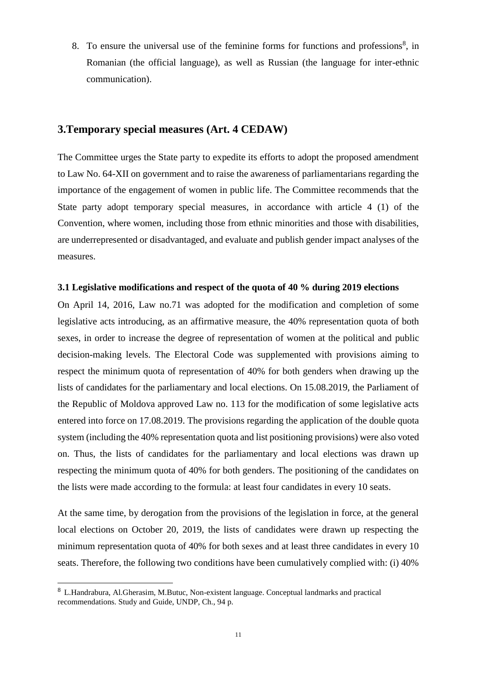8. To ensure the universal use of the feminine forms for functions and professions<sup>8</sup>, in Romanian (the official language), as well as Russian (the language for inter-ethnic communication).

## <span id="page-11-0"></span>**3.Temporary special measures (Art. 4 CEDAW)**

The Committee urges the State party to expedite its efforts to adopt the proposed amendment to Law No. 64-XII on government and to raise the awareness of parliamentarians regarding the importance of the engagement of women in public life. The Committee recommends that the State party adopt temporary special measures, in accordance with article 4 (1) of the Convention, where women, including those from ethnic minorities and those with disabilities, are underrepresented or disadvantaged, and evaluate and publish gender impact analyses of the measures.

#### <span id="page-11-1"></span>**3.1 Legislative modifications and respect of the quota of 40 % during 2019 elections**

On April 14, 2016, Law no.71 was adopted for the modification and completion of some legislative acts introducing, as an affirmative measure, the 40% representation quota of both sexes, in order to increase the degree of representation of women at the political and public decision-making levels. The Electoral Code was supplemented with provisions aiming to respect the minimum quota of representation of 40% for both genders when drawing up the lists of candidates for the parliamentary and local elections. On 15.08.2019, the Parliament of the Republic of Moldova approved Law no. 113 for the modification of some legislative acts entered into force on 17.08.2019. The provisions regarding the application of the double quota system (including the 40% representation quota and list positioning provisions) were also voted on. Thus, the lists of candidates for the parliamentary and local elections was drawn up respecting the minimum quota of 40% for both genders. The positioning of the candidates on the lists were made according to the formula: at least four candidates in every 10 seats.

At the same time, by derogation from the provisions of the legislation in force, at the general local elections on October 20, 2019, the lists of candidates were drawn up respecting the minimum representation quota of 40% for both sexes and at least three candidates in every 10 seats. Therefore, the following two conditions have been cumulatively complied with: (i) 40%

<sup>8</sup> L.Handrabura, Al.Gherasim, M.Butuc, Non-existent language. Conceptual landmarks and practical recommendations. Study and Guide, UNDP, Ch., 94 p.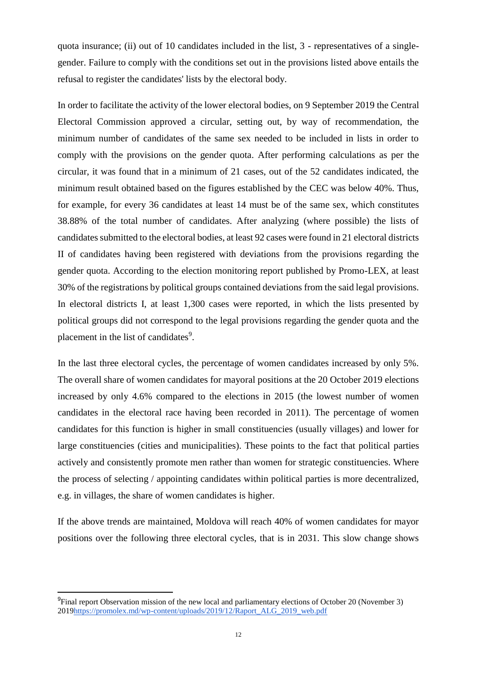quota insurance; (ii) out of 10 candidates included in the list, 3 - representatives of a singlegender. Failure to comply with the conditions set out in the provisions listed above entails the refusal to register the candidates' lists by the electoral body.

In order to facilitate the activity of the lower electoral bodies, on 9 September 2019 the Central Electoral Commission approved a circular, setting out, by way of recommendation, the minimum number of candidates of the same sex needed to be included in lists in order to comply with the provisions on the gender quota. After performing calculations as per the circular, it was found that in a minimum of 21 cases, out of the 52 candidates indicated, the minimum result obtained based on the figures established by the CEC was below 40%. Thus, for example, for every 36 candidates at least 14 must be of the same sex, which constitutes 38.88% of the total number of candidates. After analyzing (where possible) the lists of candidates submitted to the electoral bodies, at least 92 cases were found in 21 electoral districts II of candidates having been registered with deviations from the provisions regarding the gender quota. According to the election monitoring report published by Promo-LEX, at least 30% of the registrations by political groups contained deviations from the said legal provisions. In electoral districts I, at least 1,300 cases were reported, in which the lists presented by political groups did not correspond to the legal provisions regarding the gender quota and the placement in the list of candidates<sup>9</sup>.

In the last three electoral cycles, the percentage of women candidates increased by only 5%. The overall share of women candidates for mayoral positions at the 20 October 2019 elections increased by only 4.6% compared to the elections in 2015 (the lowest number of women candidates in the electoral race having been recorded in 2011). The percentage of women candidates for this function is higher in small constituencies (usually villages) and lower for large constituencies (cities and municipalities). These points to the fact that political parties actively and consistently promote men rather than women for strategic constituencies. Where the process of selecting / appointing candidates within political parties is more decentralized, e.g. in villages, the share of women candidates is higher.

If the above trends are maintained, Moldova will reach 40% of women candidates for mayor positions over the following three electoral cycles, that is in 2031. This slow change shows

<sup>9</sup>Final report Observation mission of the new local and parliamentary elections of October 20 (November 3) 201[9https://promolex.md/wp-content/uploads/2019/12/Raport\\_ALG\\_2019\\_web.pdf](https://promolex.md/wp-content/uploads/2019/12/Raport_ALG_2019_web.pdf)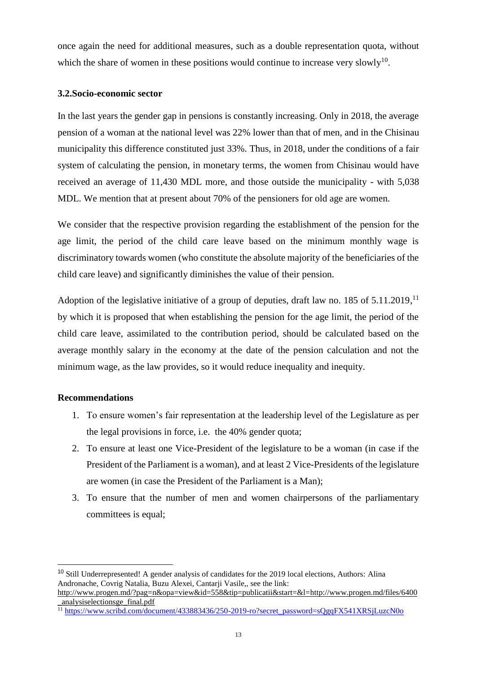once again the need for additional measures, such as a double representation quota, without which the share of women in these positions would continue to increase very slowly<sup>10</sup>.

#### <span id="page-13-0"></span>**3.2.Socio-economic sector**

In the last years the gender gap in pensions is constantly increasing. Only in 2018, the average pension of a woman at the national level was 22% lower than that of men, and in the Chisinau municipality this difference constituted just 33%. Thus, in 2018, under the conditions of a fair system of calculating the pension, in monetary terms, the women from Chisinau would have received an average of 11,430 MDL more, and those outside the municipality - with 5,038 MDL. We mention that at present about 70% of the pensioners for old age are women.

We consider that the respective provision regarding the establishment of the pension for the age limit, the period of the child care leave based on the minimum monthly wage is discriminatory towards women (who constitute the absolute majority of the beneficiaries of the child care leave) and significantly diminishes the value of their pension.

Adoption of the legislative initiative of a group of deputies, draft law no.  $185$  of  $5.11.2019$ ,<sup>11</sup> by which it is proposed that when establishing the pension for the age limit, the period of the child care leave, assimilated to the contribution period, should be calculated based on the average monthly salary in the economy at the date of the pension calculation and not the minimum wage, as the law provides, so it would reduce inequality and inequity.

#### <span id="page-13-1"></span>**Recommendations**

- 1. To ensure women's fair representation at the leadership level of the Legislature as per the legal provisions in force, i.e. the 40% gender quota;
- 2. To ensure at least one Vice-President of the legislature to be a woman (in case if the President of the Parliament is a woman), and at least 2 Vice-Presidents of the legislature are women (in case the President of the Parliament is a Man);
- 3. To ensure that the number of men and women chairpersons of the parliamentary committees is equal;

<sup>10</sup> Still Underrepresented! A gender analysis of candidates for the 2019 local elections, Authors: Alina Andronache, Covrig Natalia, Buzu Alexei, Cantarji Vasile,, see the link[:](http://www.progen.md/files/6400_analysiselectionsge_final.pdf)

[http://www.progen.md/?pag=n&opa=view&id=558&tip=publicatii&start=&l=http://www.progen.md/files/6400](http://www.progen.md/?pag=n&opa=view&id=558&tip=publicatii&start=&l=) [\\_analysiselectionsge\\_final.pdf](http://www.progen.md/files/6400_analysiselectionsge_final.pdf)

<sup>&</sup>lt;sup>11</sup> [https://www.scribd.com/document/433883436/250-2019-ro?secret\\_password=sQgqFX541XRSjLuzcN0o](https://www.scribd.com/document/433883436/250-2019-ro?secret_password=sQgqFX541XRSjLuzcN0o)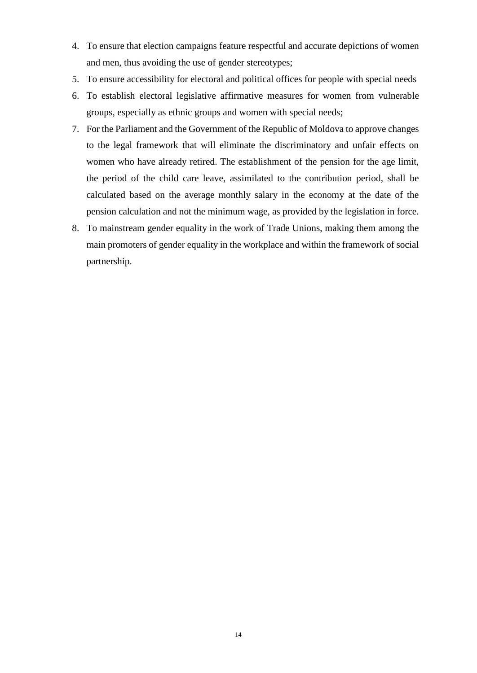- 4. To ensure that election campaigns feature respectful and accurate depictions of women and men, thus avoiding the use of gender stereotypes;
- 5. To ensure accessibility for electoral and political offices for people with special needs
- 6. To establish electoral legislative affirmative measures for women from vulnerable groups, especially as ethnic groups and women with special needs;
- 7. For the Parliament and the Government of the Republic of Moldova to approve changes to the legal framework that will eliminate the discriminatory and unfair effects on women who have already retired. The establishment of the pension for the age limit, the period of the child care leave, assimilated to the contribution period, shall be calculated based on the average monthly salary in the economy at the date of the pension calculation and not the minimum wage, as provided by the legislation in force.
- 8. To mainstream gender equality in the work of Trade Unions, making them among the main promoters of gender equality in the workplace and within the framework of social partnership.